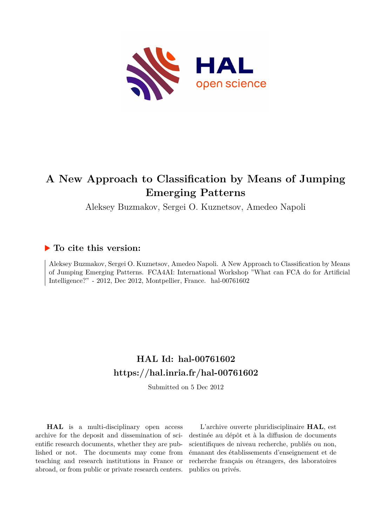

# **A New Approach to Classification by Means of Jumping Emerging Patterns**

Aleksey Buzmakov, Sergei O. Kuznetsov, Amedeo Napoli

# **To cite this version:**

Aleksey Buzmakov, Sergei O. Kuznetsov, Amedeo Napoli. A New Approach to Classification by Means of Jumping Emerging Patterns. FCA4AI: International Workshop "What can FCA do for Artificial Intelligence?" - 2012, Dec 2012, Montpellier, France. hal-00761602

# **HAL Id: hal-00761602 <https://hal.inria.fr/hal-00761602>**

Submitted on 5 Dec 2012

**HAL** is a multi-disciplinary open access archive for the deposit and dissemination of scientific research documents, whether they are published or not. The documents may come from teaching and research institutions in France or abroad, or from public or private research centers.

L'archive ouverte pluridisciplinaire **HAL**, est destinée au dépôt et à la diffusion de documents scientifiques de niveau recherche, publiés ou non, émanant des établissements d'enseignement et de recherche français ou étrangers, des laboratoires publics ou privés.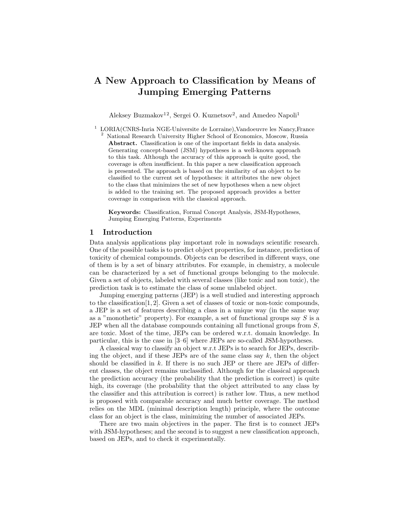# A New Approach to Classification by Means of Jumping Emerging Patterns

Aleksey Buzmakov<sup>12</sup>, Sergei O. Kuznetsov<sup>2</sup>, and Amedeo Napoli<sup>1</sup>

<sup>1</sup> LORIA(CNRS-Inria NGE-Universite de Lorraine), Vandoeuvre les Nancy, France <sup>2</sup> National Research University Higher School of Economics, Moscow, Russia Abstract. Classification is one of the important fields in data analysis. Generating concept-based (JSM) hypotheses is a well-known approach to this task. Although the accuracy of this approach is quite good, the coverage is often insufficient. In this paper a new classification approach is presented. The approach is based on the similarity of an object to be classified to the current set of hypotheses: it attributes the new object to the class that minimizes the set of new hypotheses when a new object is added to the training set. The proposed approach provides a better coverage in comparison with the classical approach.

Keywords: Classification, Formal Concept Analysis, JSM-Hypotheses, Jumping Emerging Patterns, Experiments

# 1 Introduction

Data analysis applications play important role in nowadays scientific research. One of the possible tasks is to predict object properties, for instance, prediction of toxicity of chemical compounds. Objects can be described in different ways, one of them is by a set of binary attributes. For example, in chemistry, a molecule can be characterized by a set of functional groups belonging to the molecule. Given a set of objects, labeled with several classes (like toxic and non toxic), the prediction task is to estimate the class of some unlabeled object.

Jumping emerging patterns (JEP) is a well studied and interesting approach to the classification[1, 2]. Given a set of classes of toxic or non-toxic compounds, a JEP is a set of features describing a class in a unique way (in the same way as a "monothetic" property). For example, a set of functional groups say  $S$  is a JEP when all the database compounds containing all functional groups from S, are toxic. Most of the time, JEPs can be ordered w.r.t. domain knowledge. In particular, this is the case in [3–6] where JEPs are so-called JSM-hypotheses.

A classical way to classify an object w.r.t JEPs is to search for JEPs, describing the object, and if these JEPs are of the same class say  $k$ , then the object should be classified in  $k$ . If there is no such JEP or there are JEPs of different classes, the object remains unclassified. Although for the classical approach the prediction accuracy (the probability that the prediction is correct) is quite high, its coverage (the probability that the object attributed to any class by the classifier and this attribution is correct) is rather low. Thus, a new method is proposed with comparable accuracy and much better coverage. The method relies on the MDL (minimal description length) principle, where the outcome class for an object is the class, minimizing the number of associated JEPs.

There are two main objectives in the paper. The first is to connect JEPs with JSM-hypotheses; and the second is to suggest a new classification approach, based on JEPs, and to check it experimentally.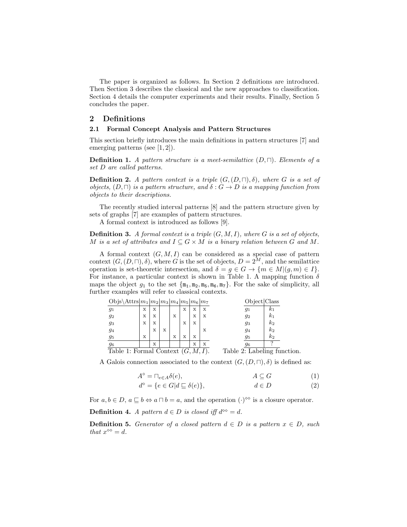The paper is organized as follows. In Section 2 definitions are introduced. Then Section 3 describes the classical and the new approaches to classification. Section 4 details the computer experiments and their results. Finally, Section 5 concludes the paper.

# 2 Definitions

#### 2.1 Formal Concept Analysis and Pattern Structures

This section briefly introduces the main definitions in pattern structures [7] and emerging patterns (see [1, 2]).

**Definition 1.** A pattern structure is a meet-semilattice  $(D, \Box)$ . Elements of a set D are called patterns.

**Definition 2.** A pattern context is a triple  $(G,(D,\sqcap),\delta)$ , where G is a set of objects,  $(D, \Box)$  is a pattern structure, and  $\delta: G \to D$  is a mapping function from objects to their descriptions.

The recently studied interval patterns [8] and the pattern structure given by sets of graphs [7] are examples of pattern structures.

A formal context is introduced as follows [9].

**Definition 3.** A formal context is a triple  $(G, M, I)$ , where G is a set of objects, M is a set of attributes and  $I \subseteq G \times M$  is a binary relation between G and M.

A formal context  $(G, M, I)$  can be considered as a special case of pattern context  $(G, (D, \Pi), \delta)$ , where G is the set of objects,  $D = 2^M$ , and the semilattice operation is set-theoretic intersection, and  $\delta = g \in G \to \{m \in M | (g, m) \in I\}.$ For instance, a particular context is shown in Table 1. A mapping function  $\delta$ maps the object  $g_1$  to the set  $\{\mathbf{m}_1, \mathbf{m}_2, \mathbf{m}_5, \mathbf{m}_6, \mathbf{m}_7\}$ . For the sake of simplicity, all further examples will refer to classical contexts.

|                                                                         | Objs\Attrs $ m_1 m_2 m_3 m_4 m_5 m_6 m_7$ |   |   |   |   |   |   |   | Object Class     |
|-------------------------------------------------------------------------|-------------------------------------------|---|---|---|---|---|---|---|------------------|
|                                                                         | $g_1$                                     | х | х |   |   | х | х | х | $k_1$<br>91      |
|                                                                         | $g_2$                                     | X | х |   | X |   | X | X | $k_{1}$<br>92    |
|                                                                         | $\mathfrak{g}_3$                          | X | X |   |   | X | х |   | $k_{2}$<br>93    |
|                                                                         | $g_4$                                     |   | х | X |   |   |   | х | $k_{2}$<br>94    |
|                                                                         | $\mathfrak{g}_5$                          | х |   |   | X | X | х |   | $k_{2}$<br>$g_5$ |
|                                                                         | $\mathfrak{g}_6$                          |   | х |   |   |   | X | х | 96               |
| Table $2$ : Labeling function.<br>Table 1: Formal Context $(G, M, I)$ . |                                           |   |   |   |   |   |   |   |                  |
|                                                                         |                                           |   |   |   |   |   |   |   |                  |

A Galois connection associated to the context  $(G,(D,\sqcap),\delta)$  is defined as:

$$
A^{\diamond} = \sqcap_{e \in A} \delta(e), \qquad A \subseteq G \tag{1}
$$

$$
d^{\diamond} = \{ e \in G | d \sqsubseteq \delta(e) \}, \qquad d \in D \tag{2}
$$

For  $a, b \in D$ ,  $a \sqsubseteq b \Leftrightarrow a \sqcap b = a$ , and the operation  $(\cdot)^{\infty}$  is a closure operator.

**Definition 4.** A pattern  $d \in D$  is closed iff  $d^{\infty} = d$ .

**Definition 5.** Generator of a closed pattern  $d \in D$  is a pattern  $x \in D$ , such that  $x^{\diamond\diamond} = d$ .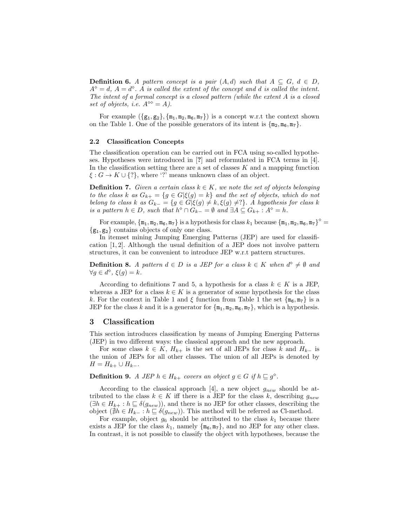**Definition 6.** A pattern concept is a pair  $(A,d)$  such that  $A \subseteq G$ ,  $d \in D$ ,  $A^{\diamond} = d, A = d^{\diamond}.$  A is called the extent of the concept and d is called the intent. The intent of a formal concept is a closed pattern (while the extent A is a closed set of objects, i.e.  $A^{\diamond\diamond} = A$ ).

For example  $(\{g_1, g_2\}, \{m_1, m_2, m_6, m_7\})$  is a concept w.r.t the context shown on the Table 1. One of the possible generators of its intent is  $\{\mathbf{m}_2, \mathbf{m}_6, \mathbf{m}_7\}$ .

#### 2.2 Classification Concepts

The classification operation can be carried out in FCA using so-called hypotheses. Hypotheses were introduced in [?] and reformulated in FCA terms in [4]. In the classification setting there are a set of classes  $K$  and a mapping function  $\xi: G \to K \cup \{?\}$ , where '?' means unknown class of an object.

**Definition 7.** Given a certain class  $k \in K$ , we note the set of objects belonging to the class k as  $G_{k+} = \{g \in G | \xi(g) = k\}$  and the set of objects, which do not belong to class k as  $G_{k-} = \{g \in G | \xi(g) \neq k, \xi(g) \neq ?\}$ . A hypothesis for class k is a pattern  $h \in D$ , such that  $h^{\diamond} \cap G_{k-} = \emptyset$  and  $\exists A \subseteq G_{k+} : A^{\diamond} = h$ .

For example,  $\{m_1, m_2, m_6, m_7\}$  is a hypothesis for class  $k_1$  because  $\{m_1, m_2, m_6, m_7\}^\diamond =$  ${g_1, g_2}$  contains objects of only one class.

In itemset mining Jumping Emerging Patterns (JEP) are used for classification [1, 2]. Although the usual definition of a JEP does not involve pattern structures, it can be convenient to introduce JEP w.r.t pattern structures.

**Definition 8.** A pattern  $d \in D$  is a JEP for a class  $k \in K$  when  $d^{\diamond} \neq \emptyset$  and  $\forall g \in d^{\diamond}, \xi(g) = k.$ 

According to definitions 7 and 5, a hypothesis for a class  $k \in K$  is a JEP, whereas a JEP for a class  $k \in K$  is a generator of some hypothesis for the class k. For the context in Table 1 and  $\xi$  function from Table 1 the set  $\{m_6, m_7\}$  is a JEP for the class k and it is a generator for  $\{\mathbf{m}_1, \mathbf{m}_2, \mathbf{m}_6, \mathbf{m}_7\}$ , which is a hypothesis.

# 3 Classification

This section introduces classification by means of Jumping Emerging Patterns (JEP) in two different ways: the classical approach and the new approach.

For some class  $k \in K$ ,  $H_{k+}$  is the set of all JEPs for class k and  $H_{k-}$  is the union of JEPs for all other classes. The union of all JEPs is denoted by  $H = H_{k+} \cup H_{k-}$ .

# **Definition 9.** A JEP  $h \in H_{k+}$  covers an object  $g \in G$  if  $h \sqsubseteq g^{\diamond}$ .

According to the classical approach [4], a new object  $g_{new}$  should be attributed to the class  $k \in K$  iff there is a JEP for the class k, describing  $g_{new}$  $(\exists h \in H_{k+} : h \sqsubseteq \delta(g_{new}))$ , and there is no JEP for other classes, describing the object ( $\sharp h \in H_{k-}: h \sqsubseteq \delta(g_{new})$ ). This method will be referred as Cl-method.

For example, object  $g_6$  should be attributed to the class  $k_1$  because there exists a JEP for the class  $k_1$ , namely  $\{\mathfrak{m}_6, \mathfrak{m}_7\}$ , and no JEP for any other class. In contrast, it is not possible to classify the object with hypotheses, because the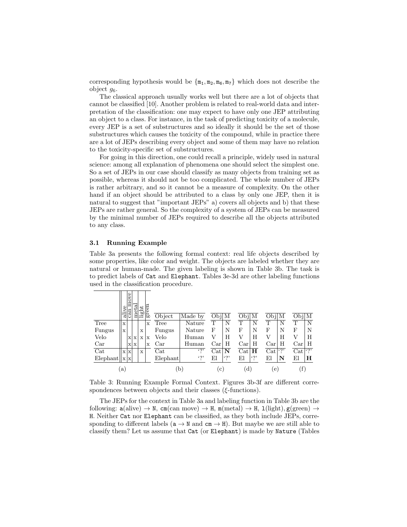corresponding hypothesis would be  $\{m_1, m_2, m_6, m_7\}$  which does not describe the object  $q_6$ .

The classical approach usually works well but there are a lot of objects that cannot be classified [10]. Another problem is related to real-world data and interpretation of the classification: one may expect to have only one JEP attributing an object to a class. For instance, in the task of predicting toxicity of a molecule, every JEP is a set of substructures and so ideally it should be the set of those substructures which causes the toxicity of the compound, while in practice there are a lot of JEPs describing every object and some of them may have no relation to the toxicity-specific set of substructures.

For going in this direction, one could recall a principle, widely used in natural science: among all explanation of phenomena one should select the simplest one. So a set of JEPs in our case should classify as many objects from training set as possible, whereas it should not be too complicated. The whole number of JEPs is rather arbitrary, and so it cannot be a measure of complexity. On the other hand if an object should be attributed to a class by only one JEP, then it is natural to suggest that "important JEPs" a) covers all objects and b) that these JEPs are rather general. So the complexity of a system of JEPs can be measured by the minimal number of JEPs required to describe all the objects attributed to any class.

#### 3.1 Running Example

Table 3a presents the following formal context: real life objects described by some properties, like color and weight. The objects are labeled whether they are natural or human-made. The given labeling is shown in Table 3b. The task is to predict labels of Cat and Elephant. Tables 3e-3d are other labeling functions used in the classification procedure.

|                | 5r<br>ದ | ove<br>car | É           | ĿН          | ದ           | Object      | Made by      | $Obj$ M              |            | Obj M            | $Obj$ M             | M<br>Obj       |
|----------------|---------|------------|-------------|-------------|-------------|-------------|--------------|----------------------|------------|------------------|---------------------|----------------|
| Tree           | X       |            |             |             | $\mathbf x$ | Tree        | Nature       | T                    | N          | T                | T<br>N              | T<br>N         |
| Fungus         | X       |            |             | X           |             | Fungus      | Nature       | F                    | N          | F<br>N           | N<br>F              | F<br>N         |
| Velo           |         | X          | $\mathbf x$ | $\mathbf x$ | $\mathbf x$ | Velo        | Human        | V                    | H          | V<br>H           | Н<br>V              | H<br>V         |
| Car            |         | X          | $\mathbf x$ |             | X           | Car         | Human        | Car                  | Н          | Car<br>Н         | Car<br>Η            | Н<br>$\rm Car$ |
| Cat            |         | x x        |             | X           |             | Cat         | $\cdot$ ?'   | $\operatorname{Cat}$ | N          | H<br>Cat         | $\cdot$ ?'<br>Cat   | (9)<br>Cat     |
| Elephant   x x |         |            |             |             |             | $Elep$ hant | $\cdot$ ?'   | El                   | $\cdot$ ?' | $\cdot$ ?'<br>El | Εl<br>N             | El<br>н        |
|                | [a]     |            |             |             |             |             | $\mathbf{b}$ | $\mathbf{c}$         |            | (d)              | $\lfloor e \rfloor$ | Ŧ              |

Table 3: Running Example Formal Context. Figures 3b-3f are different correspondences between objects and their classes ( $\xi$ -functions).

The JEPs for the context in Table 3a and labeling function in Table 3b are the following:  $a(\text{alive}) \rightarrow N$ ,  $cm(\text{can move}) \rightarrow H$ ,  $m(\text{metal}) \rightarrow H$ ,  $1(\text{light})$ ,  $g(\text{green}) \rightarrow$ H. Neither Cat nor Elephant can be classified, as they both include JEPs, corresponding to different labels ( $a \rightarrow N$  and  $cm \rightarrow H$ ). But maybe we are still able to classify them? Let us assume that Cat (or Elephant) is made by Nature (Tables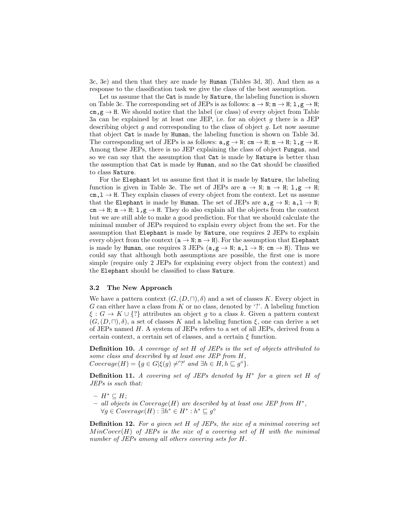3c, 3e) and then that they are made by Human (Tables 3d, 3f). And then as a response to the classification task we give the class of the best assumption.

Let us assume that the Cat is made by Nature, the labeling function is shown on Table 3c. The corresponding set of JEPs is as follows:  $a \rightarrow N$ ;  $m \rightarrow H$ ;  $1, g \rightarrow H$ ;  $\text{cm}, \text{g} \to \text{H}$ . We should notice that the label (or class) of every object from Table 3a can be explained by at least one JEP, i.e. for an object  $g$  there is a JEP describing object  $g$  and corresponding to the class of object  $g$ . Let now assume that object Cat is made by Human, the labeling function is shown on Table 3d. The corresponding set of JEPs is as follows:  $a, g \rightarrow N$ ; cm  $\rightarrow H$ ; m  $\rightarrow H$ ; 1, g  $\rightarrow H$ . Among these JEPs, there is no JEP explaining the class of object Fungus, and so we can say that the assumption that Cat is made by Nature is better than the assumption that Cat is made by Human, and so the Cat should be classified to class Nature.

For the Elephant let us assume first that it is made by Nature, the labeling function is given in Table 3e. The set of JEPs are  $a \to N$ ;  $m \to H$ ;  $1, g \to H$ ;  $cm, 1 \rightarrow H$ . They explain classes of every object from the context. Let us assume that the Elephant is made by Human. The set of JEPs are  $a, g \rightarrow N$ ;  $a, 1 \rightarrow N$ ;  $cm \rightarrow H$ ;  $m \rightarrow H$ ;  $1, g \rightarrow H$ . They do also explain all the objects from the context but we are still able to make a good prediction. For that we should calculate the minimal number of JEPs required to explain every object from the set. For the assumption that Elephant is made by Nature, one requires 2 JEPs to explain every object from the context  $(a \rightarrow N; m \rightarrow H)$ . For the assumption that Elephant is made by Human, one requires 3 JEPs ( $a, g \rightarrow N$ ;  $a, 1 \rightarrow N$ ; cm  $\rightarrow H$ ). Thus we could say that although both assumptions are possible, the first one is more simple (require only 2 JEPs for explaining every object from the context) and the Elephant should be classified to class Nature.

#### 3.2 The New Approach

We have a pattern context  $(G, (D, \Pi), \delta)$  and a set of classes K. Every object in G can either have a class from K or no class, denoted by  $\cdot$ ?'. A labeling function  $\xi: G \to K \cup \{?\}$  attributes an object g to a class k. Given a pattern context  $(G,(D,\sqcap),\delta)$ , a set of classes K and a labeling function  $\xi$ , one can derive a set of JEPs named H. A system of JEPs refers to a set of all JEPs, derived from a certain context, a certain set of classes, and a certain  $\xi$  function.

Definition 10. A coverage of set H of JEPs is the set of objects attributed to some class and described by at least one JEP from H,  $Coverage(H) = \{ g \in G | \xi(g) \neq^{\prime} \}$  and  $\exists h \in H, h \sqsubseteq g^{\diamond} \}.$ 

**Definition 11.** A covering set of JEPs denoted by  $H^*$  for a given set H of JEPs is such that:

- $H^* \subset H$ ;
- $-$  all objects in Coverage(H) are described by at least one JEP from  $H^*$ ,  $\forall g \in Coverage(H): \exists h^* \in H^* : h^* \sqsubseteq g^{\diamond}$

**Definition 12.** For a given set H of JEPs, the size of a minimal covering set  $MinCover(H)$  of JEPs is the size of a covering set of H with the minimal number of JEPs among all others covering sets for H.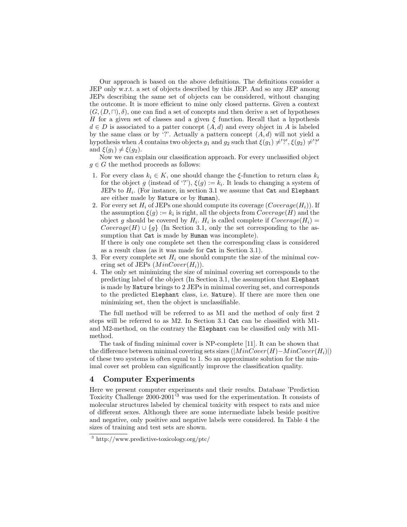Our approach is based on the above definitions. The definitions consider a JEP only w.r.t. a set of objects described by this JEP. And so any JEP among JEPs describing the same set of objects can be considered, without changing the outcome. It is more efficient to mine only closed patterns. Given a context  $(G, (D, \Pi), \delta)$ , one can find a set of concepts and then derive a set of hypotheses H for a given set of classes and a given  $\xi$  function. Recall that a hypothesis  $d \in D$  is associated to a patter concept  $(A, d)$  and every object in A is labeled by the same class or by '?'. Actually a pattern concept  $(A, d)$  will not yield a hypothesis when A contains two objects  $g_1$  and  $g_2$  such that  $\xi(g_1) \neq ?'$ ,  $\xi(g_2) \neq ?'$ and  $\xi(g_1) \neq \xi(g_2)$ .

Now we can explain our classification approach. For every unclassified object  $g \in G$  the method proceeds as follows:

- 1. For every class  $k_i \in K$ , one should change the  $\xi$ -function to return class  $k_i$ for the object g (instead of '?'),  $\xi(g) := k_i$ . It leads to changing a system of JEPs to  $H_i$ . (For instance, in section 3.1 we assume that Cat and Elephant are either made by Nature or by Human).
- 2. For every set  $H_i$  of JEPs one should compute its coverage  $(Coverage(H_i))$ . If the assumption  $\xi(g) := k_i$  is right, all the objects from  $Coverage(H)$  and the object g should be covered by  $H_i$ .  $H_i$  is called complete if  $Coverage(H_i)$  = Coverage(H) ∪ {g} (In Section 3.1, only the set corresponding to the assumption that Cat is made by Human was incomplete).

If there is only one complete set then the corresponding class is considered as a result class (as it was made for Cat in Section 3.1).

- 3. For every complete set  $H_i$  one should compute the size of the minimal covering set of JEPs  $(MinCover(H_i)).$
- 4. The only set minimizing the size of minimal covering set corresponds to the predicting label of the object (In Section 3.1, the assumption that Elephant is made by Nature brings to 2 JEPs in minimal covering set, and corresponds to the predicted Elephant class, i.e. Nature). If there are more then one minimizing set, then the object is unclassifiable.

The full method will be referred to as M1 and the method of only first 2 steps will be referred to as M2. In Section 3.1 Cat can be classified with M1 and M2-method, on the contrary the Elephant can be classified only with M1 method.

The task of finding minimal cover is NP-complete [11]. It can be shown that the difference between minimal covering sets sizes  $(|MinCover(H)-MinCover(H_i)|)$ of these two systems is often equal to 1. So an approximate solution for the minimal cover set problem can significantly improve the classification quality.

### 4 Computer Experiments

Here we present computer experiments and their results. Database 'Prediction Toxicity Challenge 2000-2001'<sup>3</sup> was used for the experimentation. It consists of molecular structures labeled by chemical toxicity with respect to rats and mice of different sexes. Although there are some intermediate labels beside positive and negative, only positive and negative labels were considered. In Table 4 the sizes of training and test sets are shown.

<sup>3</sup> http://www.predictive-toxicology.org/ptc/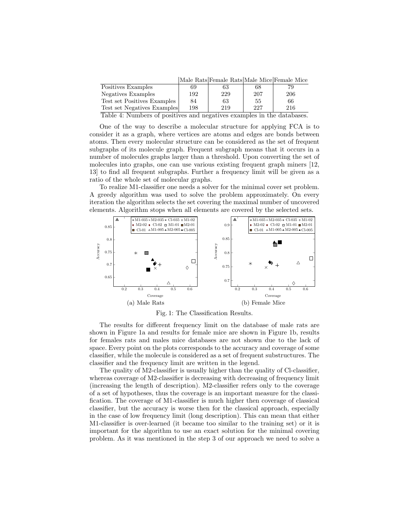|                             |     | Male Rats Female Rats Male Mice Female Mice |     |     |
|-----------------------------|-----|---------------------------------------------|-----|-----|
| Positives Examples          | 69  | 63                                          | 68  | 79  |
| Negatives Examples          | 192 | 229                                         | 207 | 206 |
| Test set Positives Examples | 84  | 63                                          | 55  | 66  |
| Test set Negatives Examples | 198 | 219                                         | 227 | 216 |
|                             |     |                                             |     |     |

Table 4: Numbers of positives and negatives examples in the databases.

One of the way to describe a molecular structure for applying FCA is to consider it as a graph, where vertices are atoms and edges are bonds between atoms. Then every molecular structure can be considered as the set of frequent subgraphs of its molecule graph. Frequent subgraph means that it occurs in a number of molecules graphs larger than a threshold. Upon converting the set of molecules into graphs, one can use various existing frequent graph miners [12, 13] to find all frequent subgraphs. Further a frequency limit will be given as a ratio of the whole set of molecular graphs.

To realize M1-classifier one needs a solver for the minimal cover set problem. A greedy algorithm was used to solve the problem approximately. On every iteration the algorithm selects the set covering the maximal number of uncovered elements. Algorithm stops when all elements are covered by the selected sets.



Fig. 1: The Classification Results.

The results for different frequency limit on the database of male rats are shown in Figure 1a and results for female mice are shown in Figure 1b, results for females rats and males mice databases are not shown due to the lack of space. Every point on the plots corresponds to the accuracy and coverage of some classifier, while the molecule is considered as a set of frequent substructures. The classifier and the frequency limit are written in the legend.

The quality of M2-classifier is usually higher than the quality of Cl-classifier, whereas coverage of M2-classifier is decreasing with decreasing of frequency limit (increasing the length of description). M2-classifier refers only to the coverage of a set of hypotheses, thus the coverage is an important measure for the classification. The coverage of M1-classifier is much higher then coverage of classical classifier, but the accuracy is worse then for the classical approach, especially in the case of low frequency limit (long description). This can mean that either M1-classifier is over-learned (it became too similar to the training set) or it is important for the algorithm to use an exact solution for the minimal covering problem. As it was mentioned in the step 3 of our approach we need to solve a